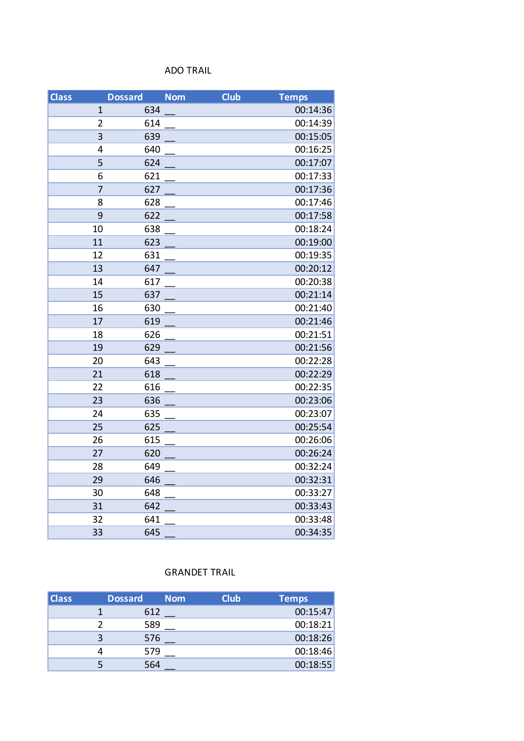## ADO TRAIL

| <b>Class</b> | <b>Dossard</b> |     | <b>Nom</b> | <b>Club</b> | <b>Temps</b> |
|--------------|----------------|-----|------------|-------------|--------------|
|              | 1              | 634 |            |             | 00:14:36     |
|              | $\overline{2}$ | 614 |            |             | 00:14:39     |
|              | 3              | 639 |            |             | 00:15:05     |
|              | 4              | 640 |            |             | 00:16:25     |
|              | 5              | 624 |            |             | 00:17:07     |
|              | 6              | 621 |            |             | 00:17:33     |
|              | $\overline{7}$ | 627 |            |             | 00:17:36     |
|              | 8              | 628 |            |             | 00:17:46     |
|              | 9              | 622 |            |             | 00:17:58     |
|              | 10             | 638 |            |             | 00:18:24     |
|              | 11             | 623 |            |             | 00:19:00     |
|              | 12             | 631 |            |             | 00:19:35     |
|              | 13             | 647 |            |             | 00:20:12     |
|              | 14             | 617 |            |             | 00:20:38     |
|              | 15             | 637 |            |             | 00:21:14     |
|              | 16             | 630 |            |             | 00:21:40     |
|              | 17             | 619 |            |             | 00:21:46     |
|              | 18             | 626 |            |             | 00:21:51     |
|              | 19             | 629 |            |             | 00:21:56     |
|              | 20             | 643 |            |             | 00:22:28     |
|              | 21             | 618 |            |             | 00:22:29     |
|              | 22             | 616 |            |             | 00:22:35     |
|              | 23             | 636 |            |             | 00:23:06     |
|              | 24             | 635 |            |             | 00:23:07     |
|              | 25             | 625 |            |             | 00:25:54     |
|              | 26             | 615 |            |             | 00:26:06     |
|              | 27             | 620 |            |             | 00:26:24     |
|              | 28             | 649 |            |             | 00:32:24     |
|              | 29             | 646 |            |             | 00:32:31     |
|              | 30             | 648 |            |             | 00:33:27     |
|              | 31             | 642 |            |             | 00:33:43     |
|              | 32             | 641 |            |             | 00:33:48     |
|              | 33             | 645 |            |             | 00:34:35     |

## GRANDET TRAIL

| <b>Class</b> | <b>Dossard</b><br><b>Nom</b> | <b>Club</b> | Temps    |
|--------------|------------------------------|-------------|----------|
|              | 612                          |             | 00:15:47 |
|              | 589                          |             | 00:18:21 |
|              | 576                          |             | 00:18:26 |
|              | 579                          |             | 00:18:46 |
|              | 564                          |             | 00:18:55 |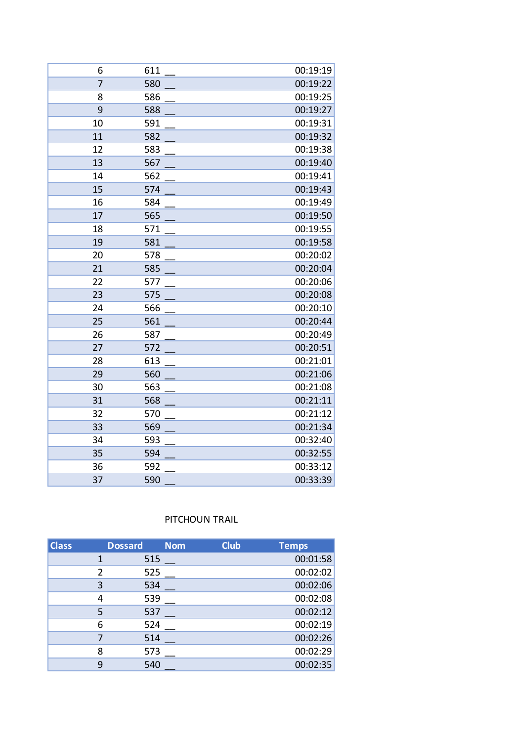| 6              | 611 | 00:19:19 |
|----------------|-----|----------|
| $\overline{7}$ | 580 | 00:19:22 |
| 8              | 586 | 00:19:25 |
| 9              | 588 | 00:19:27 |
| 10             | 591 | 00:19:31 |
| 11             | 582 | 00:19:32 |
| 12             | 583 | 00:19:38 |
| 13             | 567 | 00:19:40 |
| 14             | 562 | 00:19:41 |
| 15             | 574 | 00:19:43 |
| 16             | 584 | 00:19:49 |
| 17             | 565 | 00:19:50 |
| 18             | 571 | 00:19:55 |
| 19             | 581 | 00:19:58 |
| 20             | 578 | 00:20:02 |
| 21             | 585 | 00:20:04 |
| 22             | 577 | 00:20:06 |
| 23             | 575 | 00:20:08 |
| 24             | 566 | 00:20:10 |
| 25             | 561 | 00:20:44 |
| 26             | 587 | 00:20:49 |
| 27             | 572 | 00:20:51 |
| 28             | 613 | 00:21:01 |
| 29             | 560 | 00:21:06 |
| 30             | 563 | 00:21:08 |
| 31             | 568 | 00:21:11 |
| 32             | 570 | 00:21:12 |
| 33             | 569 | 00:21:34 |
| 34             | 593 | 00:32:40 |
| 35             | 594 | 00:32:55 |
| 36             | 592 | 00:33:12 |
| 37             | 590 | 00:33:39 |

## PITCHOUN TRAIL

| <b>Class</b> |               | <b>Dossard</b> | <b>Nom</b> | <b>Club</b> | <b>Temps</b> |
|--------------|---------------|----------------|------------|-------------|--------------|
|              |               | 515            |            |             | 00:01:58     |
|              | $\mathcal{P}$ | 525            |            |             | 00:02:02     |
|              | 3             | 534            |            |             | 00:02:06     |
|              | 4             | 539            |            |             | 00:02:08     |
|              | 5             | 537            |            |             | 00:02:12     |
|              | 6             | 524            |            |             | 00:02:19     |
|              |               | 514            |            |             | 00:02:26     |
|              | 8             | 573            |            |             | 00:02:29     |
|              | 9             | 540            |            |             | 00:02:35     |